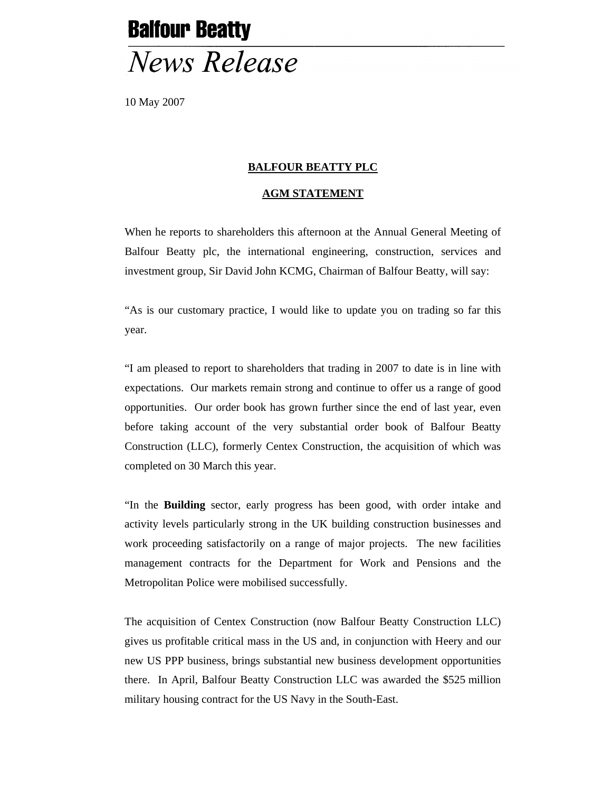## **Balfour Beatty News Release**

10 May 2007

## **BALFOUR BEATTY PLC**

## **AGM STATEMENT**

When he reports to shareholders this afternoon at the Annual General Meeting of Balfour Beatty plc, the international engineering, construction, services and investment group, Sir David John KCMG, Chairman of Balfour Beatty, will say:

"As is our customary practice, I would like to update you on trading so far this year.

"I am pleased to report to shareholders that trading in 2007 to date is in line with expectations. Our markets remain strong and continue to offer us a range of good opportunities. Our order book has grown further since the end of last year, even before taking account of the very substantial order book of Balfour Beatty Construction (LLC), formerly Centex Construction, the acquisition of which was completed on 30 March this year.

"In the **Building** sector, early progress has been good, with order intake and activity levels particularly strong in the UK building construction businesses and work proceeding satisfactorily on a range of major projects. The new facilities management contracts for the Department for Work and Pensions and the Metropolitan Police were mobilised successfully.

The acquisition of Centex Construction (now Balfour Beatty Construction LLC) gives us profitable critical mass in the US and, in conjunction with Heery and our new US PPP business, brings substantial new business development opportunities there. In April, Balfour Beatty Construction LLC was awarded the \$525 million military housing contract for the US Navy in the South-East.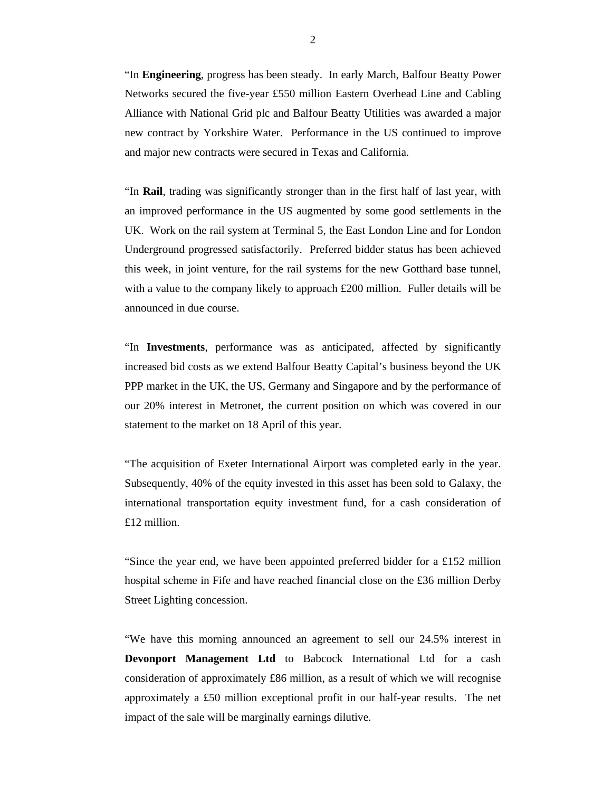"In **Engineering**, progress has been steady. In early March, Balfour Beatty Power Networks secured the five-year £550 million Eastern Overhead Line and Cabling Alliance with National Grid plc and Balfour Beatty Utilities was awarded a major new contract by Yorkshire Water. Performance in the US continued to improve and major new contracts were secured in Texas and California.

"In **Rail**, trading was significantly stronger than in the first half of last year, with an improved performance in the US augmented by some good settlements in the UK. Work on the rail system at Terminal 5, the East London Line and for London Underground progressed satisfactorily. Preferred bidder status has been achieved this week, in joint venture, for the rail systems for the new Gotthard base tunnel, with a value to the company likely to approach  $£200$  million. Fuller details will be announced in due course.

"In **Investments**, performance was as anticipated, affected by significantly increased bid costs as we extend Balfour Beatty Capital's business beyond the UK PPP market in the UK, the US, Germany and Singapore and by the performance of our 20% interest in Metronet, the current position on which was covered in our statement to the market on 18 April of this year.

"The acquisition of Exeter International Airport was completed early in the year. Subsequently, 40% of the equity invested in this asset has been sold to Galaxy, the international transportation equity investment fund, for a cash consideration of £12 million.

"Since the year end, we have been appointed preferred bidder for a £152 million hospital scheme in Fife and have reached financial close on the £36 million Derby Street Lighting concession.

"We have this morning announced an agreement to sell our 24.5% interest in **Devonport Management Ltd** to Babcock International Ltd for a cash consideration of approximately £86 million, as a result of which we will recognise approximately a £50 million exceptional profit in our half-year results. The net impact of the sale will be marginally earnings dilutive.